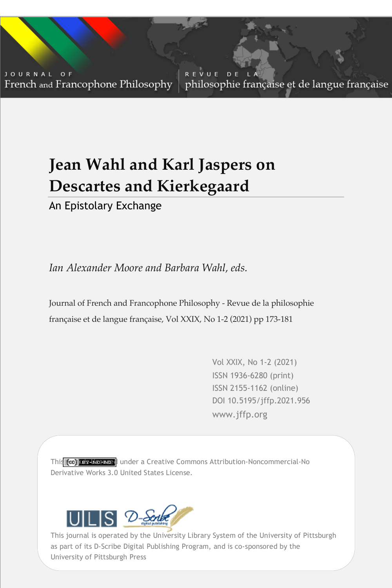JOURNAL OF French and Francophone Philosophy

REVUE D E philosophie française et de langue française

# **Jean Wahl and Karl Jaspers on Descartes and Kierkegaard**

An Epistolary Exchange

*Ian Alexander Moore and Barbara Wahl, eds.*

Journal of French and Francophone Philosophy - Revue de la philosophie française et de langue française, Vol XXIX, No 1-2 (2021) pp 173-181

> Vol XXIX, No 1-2 (2021) ISSN 1936-6280 (print) ISSN 2155-1162 (online) DOI 10.5195/jffp.2021.956 www.jffp.org

Vol XXIX, No 1-2 (2021) | www.jffp.org | DOI 10.5195/jffp.2021.956

This (co) **kers koemed** under a Creative Commons Attribution-Noncommercial-No Derivative Works 3.0 United States License.



University of Pittsburgh Press This journal is operated by the University Library System of the University of Pittsburgh as part of its D-Scribe Digital Publishing Program, and is co-sponsored by the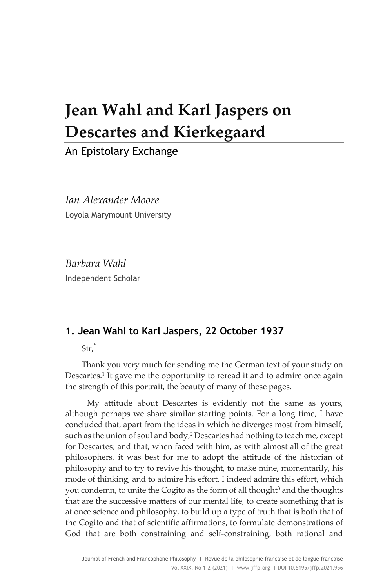# **Jean Wahl and Karl Jaspers on Descartes and Kierkegaard**

An Epistolary Exchange

*Ian Alexander Moore* Loyola Marymount University

*Barbara Wahl* Independent Scholar

## **1. Jean Wahl to Karl Jaspers, 22 October 1937**

Sir,\*

Thank you very much for sending me the German text of your study on Descartes.<sup>1</sup> It gave me the opportunity to reread it and to admire once again the strength of this portrait, the beauty of many of these pages.

My attitude about Descartes is evidently not the same as yours, although perhaps we share similar starting points. For a long time, I have concluded that, apart from the ideas in which he diverges most from himself, such as the union of soul and body, $2$  Descartes had nothing to teach me, except for Descartes; and that, when faced with him, as with almost all of the great philosophers, it was best for me to adopt the attitude of the historian of philosophy and to try to revive his thought, to make mine, momentarily, his mode of thinking, and to admire his effort. I indeed admire this effort, which you condemn, to unite the Cogito as the form of all thought<sup>3</sup> and the thoughts that are the successive matters of our mental life, to create something that is at once science and philosophy, to build up a type of truth that is both that of the Cogito and that of scientific affirmations, to formulate demonstrations of God that are both constraining and self-constraining, both rational and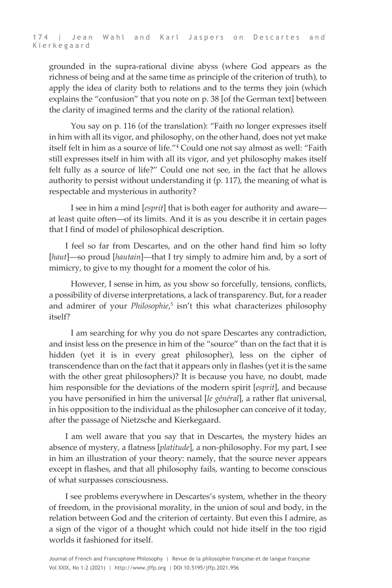grounded in the supra-rational divine abyss (where God appears as the richness of being and at the same time as principle of the criterion of truth), to apply the idea of clarity both to relations and to the terms they join (which explains the "confusion" that you note on p. 38 [of the German text] between the clarity of imagined terms and the clarity of the rational relation).

You say on p. 116 (of the translation): "Faith no longer expresses itself in him with all its vigor, and philosophy, on the other hand, does not yet make itself felt in him as a source of life."4 Could one not say almost as well: "Faith still expresses itself in him with all its vigor, and yet philosophy makes itself felt fully as a source of life?" Could one not see, in the fact that he allows authority to persist without understanding it (p. 117), the meaning of what is respectable and mysterious in authority?

I see in him a mind [*esprit*] that is both eager for authority and aware at least quite often—of its limits. And it is as you describe it in certain pages that I find of model of philosophical description.

I feel so far from Descartes, and on the other hand find him so lofty [*haut*]—so proud [*hautain*]—that I try simply to admire him and, by a sort of mimicry, to give to my thought for a moment the color of his.

However, I sense in him, as you show so forcefully, tensions, conflicts, a possibility of diverse interpretations, a lack of transparency. But, for a reader and admirer of your *Philosophie*, <sup>5</sup> isn't this what characterizes philosophy itself?

I am searching for why you do not spare Descartes any contradiction, and insist less on the presence in him of the "source" than on the fact that it is hidden (yet it is in every great philosopher), less on the cipher of transcendence than on the fact that it appears only in flashes (yet it is the same with the other great philosophers)? It is because you have, no doubt, made him responsible for the deviations of the modern spirit [*esprit*], and because you have personified in him the universal [*le général*], a rather flat universal, in his opposition to the individual as the philosopher can conceive of it today, after the passage of Nietzsche and Kierkegaard.

I am well aware that you say that in Descartes, the mystery hides an absence of mystery, a flatness [*platitude*], a non-philosophy. For my part, I see in him an illustration of your theory: namely, that the source never appears except in flashes, and that all philosophy fails, wanting to become conscious of what surpasses consciousness.

I see problems everywhere in Descartes's system, whether in the theory of freedom, in the provisional morality, in the union of soul and body, in the relation between God and the criterion of certainty. But even this I admire, as a sign of the vigor of a thought which could not hide itself in the too rigid worlds it fashioned for itself.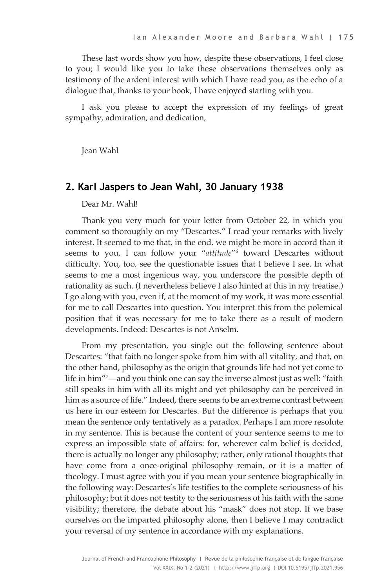These last words show you how, despite these observations, I feel close to you; I would like you to take these observations themselves only as testimony of the ardent interest with which I have read you, as the echo of a dialogue that, thanks to your book, I have enjoyed starting with you.

I ask you please to accept the expression of my feelings of great sympathy, admiration, and dedication,

Jean Wahl

#### **2. Karl Jaspers to Jean Wahl, 30 January 1938**

#### Dear Mr. Wahl!

Thank you very much for your letter from October 22, in which you comment so thoroughly on my "Descartes." I read your remarks with lively interest. It seemed to me that, in the end, we might be more in accord than it seems to you. I can follow your "*attitude*"6 toward Descartes without difficulty. You, too, see the questionable issues that I believe I see. In what seems to me a most ingenious way, you underscore the possible depth of rationality as such. (I nevertheless believe I also hinted at this in my treatise.) I go along with you, even if, at the moment of my work, it was more essential for me to call Descartes into question. You interpret this from the polemical position that it was necessary for me to take there as a result of modern developments. Indeed: Descartes is not Anselm.

From my presentation, you single out the following sentence about Descartes: "that faith no longer spoke from him with all vitality, and that, on the other hand, philosophy as the origin that grounds life had not yet come to life in him"7 —and you think one can say the inverse almost just as well: "faith still speaks in him with all its might and yet philosophy can be perceived in him as a source of life." Indeed, there seems to be an extreme contrast between us here in our esteem for Descartes. But the difference is perhaps that you mean the sentence only tentatively as a paradox. Perhaps I am more resolute in my sentence. This is because the content of your sentence seems to me to express an impossible state of affairs: for, wherever calm belief is decided, there is actually no longer any philosophy; rather, only rational thoughts that have come from a once-original philosophy remain, or it is a matter of theology. I must agree with you if you mean your sentence biographically in the following way: Descartes's life testifies to the complete seriousness of his philosophy; but it does not testify to the seriousness of his faith with the same visibility; therefore, the debate about his "mask" does not stop. If we base ourselves on the imparted philosophy alone, then I believe I may contradict your reversal of my sentence in accordance with my explanations.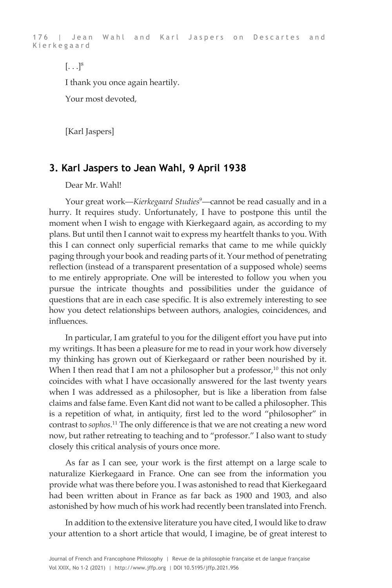176 | Jean Wahl and Karl Jaspers on Descartes and Kierkegaard

 $[\ldots]^8$ 

I thank you once again heartily.

Your most devoted,

[Karl Jaspers]

### **3. Karl Jaspers to Jean Wahl, 9 April 1938**

Dear Mr. Wahl!

Your great work—*Kierkegaard Studies<sup>9</sup>*—cannot be read casually and in a hurry. It requires study. Unfortunately, I have to postpone this until the moment when I wish to engage with Kierkegaard again, as according to my plans. But until then I cannot wait to express my heartfelt thanks to you. With this I can connect only superficial remarks that came to me while quickly paging through your book and reading parts of it. Your method of penetrating reflection (instead of a transparent presentation of a supposed whole) seems to me entirely appropriate. One will be interested to follow you when you pursue the intricate thoughts and possibilities under the guidance of questions that are in each case specific. It is also extremely interesting to see how you detect relationships between authors, analogies, coincidences, and influences.

In particular, I am grateful to you for the diligent effort you have put into my writings. It has been a pleasure for me to read in your work how diversely my thinking has grown out of Kierkegaard or rather been nourished by it. When I then read that I am not a philosopher but a professor, $10$  this not only coincides with what I have occasionally answered for the last twenty years when I was addressed as a philosopher, but is like a liberation from false claims and false fame. Even Kant did not want to be called a philosopher. This is a repetition of what, in antiquity, first led to the word "philosopher" in contrast to *sophos*. <sup>11</sup> The only difference is that we are not creating a new word now, but rather retreating to teaching and to "professor." I also want to study closely this critical analysis of yours once more.

As far as I can see, your work is the first attempt on a large scale to naturalize Kierkegaard in France. One can see from the information you provide what was there before you. I was astonished to read that Kierkegaard had been written about in France as far back as 1900 and 1903, and also astonished by how much of his work had recently been translated into French.

In addition to the extensive literature you have cited, I would like to draw your attention to a short article that would, I imagine, be of great interest to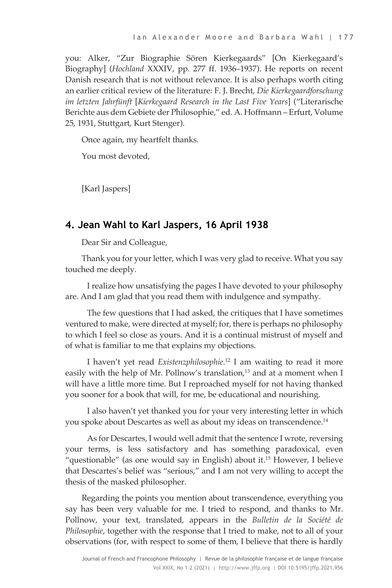you: Alker, "Zur Biographie Sören Kierkegaards" [On Kierkegaard's Biography] (*Hochland* XXXIV, pp. 277 ff. 1936–1937). He reports on recent Danish research that is not without relevance. It is also perhaps worth citing an earlier critical review of the literature: F. J. Brecht, *Die Kierkegaardforschung im letzten Jahrfünft* [*Kierkegaard Research in the Last Five Years*] ("Literarische Berichte aus dem Gebiete der Philosophie," ed. A. Hoffmann – Erfurt, Volume 25, 1931, Stuttgart, Kurt Stenger).

Once again, my heartfelt thanks.

You most devoted,

[Karl Jaspers]

## **4. Jean Wahl to Karl Jaspers, 16 April 1938**

Dear Sir and Colleague,

Thank you for your letter, which I was very glad to receive. What you say touched me deeply.

I realize how unsatisfying the pages I have devoted to your philosophy are. And I am glad that you read them with indulgence and sympathy.

The few questions that I had asked, the critiques that I have sometimes ventured to make, were directed at myself; for, there is perhaps no philosophy to which I feel so close as yours. And it is a continual mistrust of myself and of what is familiar to me that explains my objections.

I haven't yet read *Existenzphilosophie*. <sup>12</sup> I am waiting to read it more easily with the help of Mr. Pollnow's translation,<sup>13</sup> and at a moment when I will have a little more time. But I reproached myself for not having thanked you sooner for a book that will, for me, be educational and nourishing.

I also haven't yet thanked you for your very interesting letter in which you spoke about Descartes as well as about my ideas on transcendence.14

As for Descartes, I would well admit that the sentence I wrote, reversing your terms, is less satisfactory and has something paradoxical, even "questionable" (as one would say in English) about it.15 However, I believe that Descartes's belief was "serious," and I am not very willing to accept the thesis of the masked philosopher.

Regarding the points you mention about transcendence, everything you say has been very valuable for me. I tried to respond, and thanks to Mr. Pollnow, your text, translated, appears in the *Bulletin de la Société de Philosophie*, together with the response that I tried to make, not to all of your observations (for, with respect to some of them, I believe that there is hardly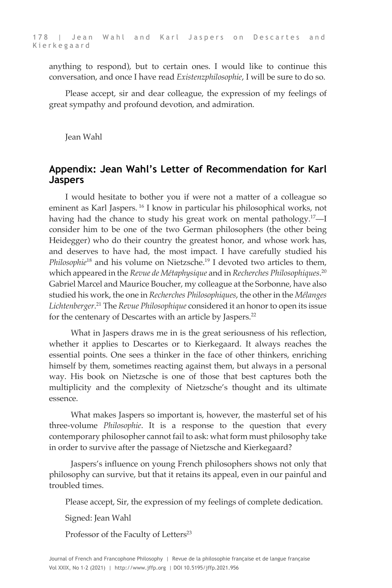anything to respond), but to certain ones. I would like to continue this conversation, and once I have read *Existenzphilosophie*, I will be sure to do so.

Please accept, sir and dear colleague, the expression of my feelings of great sympathy and profound devotion, and admiration.

Jean Wahl

### **Appendix: Jean Wahl's Letter of Recommendation for Karl Jaspers**

I would hesitate to bother you if were not a matter of a colleague so eminent as Karl Jaspers. <sup>16</sup> I know in particular his philosophical works, not having had the chance to study his great work on mental pathology.<sup>17</sup>-I consider him to be one of the two German philosophers (the other being Heidegger) who do their country the greatest honor, and whose work has, and deserves to have had, the most impact. I have carefully studied his *Philosophie*<sup>18</sup> and his volume on Nietzsche.19 I devoted two articles to them, which appeared in the *Revue de Métaphysique* and in *Recherches Philosophiques*. 20 Gabriel Marcel and Maurice Boucher, my colleague at the Sorbonne, have also studied his work, the one in *Recherches Philosophiques*, the other in the *Mélanges Lichtenberger*. <sup>21</sup> The *Revue Philosophique* considered it an honor to open its issue for the centenary of Descartes with an article by Jaspers.<sup>22</sup>

What in Jaspers draws me in is the great seriousness of his reflection, whether it applies to Descartes or to Kierkegaard. It always reaches the essential points. One sees a thinker in the face of other thinkers, enriching himself by them, sometimes reacting against them, but always in a personal way. His book on Nietzsche is one of those that best captures both the multiplicity and the complexity of Nietzsche's thought and its ultimate essence.

What makes Jaspers so important is, however, the masterful set of his three-volume *Philosophie*. It is a response to the question that every contemporary philosopher cannot fail to ask: what form must philosophy take in order to survive after the passage of Nietzsche and Kierkegaard?

Jaspers's influence on young French philosophers shows not only that philosophy can survive, but that it retains its appeal, even in our painful and troubled times.

Please accept, Sir, the expression of my feelings of complete dedication.

Signed: Jean Wahl

Professor of the Faculty of Letters<sup>23</sup>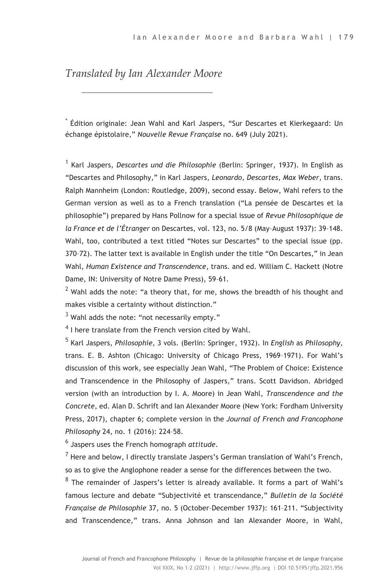# *Translated by Ian Alexander Moore*

Édition originale: Jean Wahl and Karl Jaspers, "Sur Descartes et Kierkegaard: Un échange épistolaire," *Nouvelle Revue Française* no. 649 (July 2021).

<sup>1</sup> Karl Jaspers, *Descartes und die Philosophie* (Berlin: Springer, 1937). In English as "Descartes and Philosophy," in Karl Jaspers, *Leonardo, Descartes, Max Weber*, trans. Ralph Mannheim (London: Routledge, 2009), second essay. Below, Wahl refers to the German version as well as to a French translation ("La pensée de Descartes et la philosophie") prepared by Hans Pollnow for a special issue of *Revue Philosophique de la France et de l'Étranger* on Descartes, vol. 123, no. 5/8 (May–August 1937): 39–148. Wahl, too, contributed a text titled "Notes sur Descartes" to the special issue (pp. 370–72). The latter text is available in English under the title "On Descartes," in Jean Wahl, *Human Existence and Transcendence*, trans. and ed. William C. Hackett (Notre Dame, IN: University of Notre Dame Press), 59–61.

 $2$  Wahl adds the note: "a theory that, for me, shows the breadth of his thought and makes visible a certainty without distinction."

 $3$  Wahl adds the note: "not necessarily empty."

 $4$  I here translate from the French version cited by Wahl.

<sup>5</sup> Karl Jaspers, *Philosophie*, 3 vols. (Berlin: Springer, 1932). In *English* as *Philosophy*, trans. E. B. Ashton (Chicago: University of Chicago Press, 1969–1971). For Wahl's discussion of this work, see especially Jean Wahl, "The Problem of Choice: Existence and Transcendence in the Philosophy of Jaspers," trans. Scott Davidson. Abridged version (with an introduction by I. A. Moore) in Jean Wahl, *Transcendence and the Concrete*, ed. Alan D. Schrift and Ian Alexander Moore (New York: Fordham University Press, 2017), chapter 6; complete version in the *Journal of French and Francophone Philosophy* 24, no. 1 (2016): 224–58.

<sup>6</sup> Jaspers uses the French homograph *attitude*.

 $^7$  Here and below, I directly translate Jaspers's German translation of Wahl's French, so as to give the Anglophone reader a sense for the differences between the two.

 $8$  The remainder of Jaspers's letter is already available. It forms a part of Wahl's famous lecture and debate "Subjectivité et transcendance," *Bulletin de la Société Française de Philosophie* 37, no. 5 (October–December 1937): 161–211. "Subjectivity and Transcendence," trans. Anna Johnson and Ian Alexander Moore, in Wahl,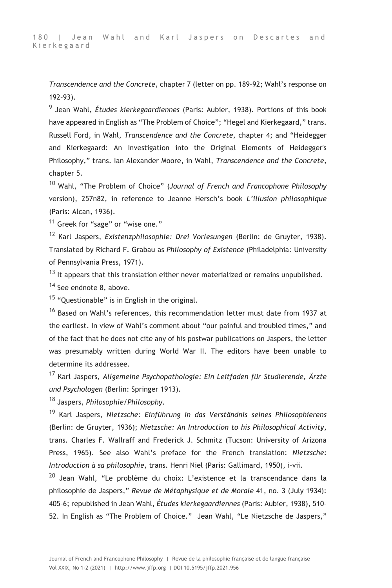*Transcendence and the Concrete*, chapter 7 (letter on pp. 189–92; Wahl's response on 192–93).

<sup>9</sup> Jean Wahl, *Études kierkegaardiennes* (Paris: Aubier, 1938). Portions of this book have appeared in English as "The Problem of Choice"; "Hegel and Kierkegaard," trans. Russell Ford, in Wahl, *Transcendence and the Concrete*, chapter 4; and "Heidegger and Kierkegaard: An Investigation into the Original Elements of Heidegger's Philosophy," trans. Ian Alexander Moore, in Wahl, *Transcendence and the Concrete*, chapter 5.

<sup>10</sup> Wahl, "The Problem of Choice" (*Journal of French and Francophone Philosophy* version), 257n82, in reference to Jeanne Hersch's book *L'illusion philosophique* (Paris: Alcan, 1936).

 $11$  Greek for "sage" or "wise one."

<sup>12</sup> Karl Jaspers, *Existenzphilosophie: Drei Vorlesungen* (Berlin: de Gruyter, 1938). Translated by Richard F. Grabau as *Philosophy of Existence* (Philadelphia: University of Pennsylvania Press, 1971).

 $13$  It appears that this translation either never materialized or remains unpublished. <sup>14</sup> See endnote 8, above.

<sup>15</sup> "Questionable" is in English in the original.

<sup>16</sup> Based on Wahl's references, this recommendation letter must date from 1937 at the earliest. In view of Wahl's comment about "our painful and troubled times," and of the fact that he does not cite any of his postwar publications on Jaspers, the letter was presumably written during World War II. The editors have been unable to determine its addressee.

<sup>17</sup> Karl Jaspers, *Allgemeine Psychopathologie: Ein Leitfaden für Studierende, Ärzte und Psychologen* (Berlin: Springer 1913).

<sup>18</sup> Jaspers, *Philosophie/Philosophy*.

<sup>19</sup> Karl Jaspers, *Nietzsche: Einführung in das Verständnis seines Philosophierens* (Berlin: de Gruyter, 1936); *Nietzsche: An Introduction to his Philosophical Activity*, trans. Charles F. Wallraff and Frederick J. Schmitz (Tucson: University of Arizona Press, 1965). See also Wahl's preface for the French translation: *Nietzsche: Introduction à sa philosophie*, trans. Henri Niel (Paris: Gallimard, 1950), i–vii.

<sup>20</sup> Jean Wahl, "Le problème du choix: L'existence et la transcendance dans la philosophie de Jaspers," *Revue de Métaphysique et de Morale* 41, no. 3 (July 1934): 405–6; republished in Jean Wahl, *Études kierkegaardiennes* (Paris: Aubier, 1938), 510– 52. In English as "The Problem of Choice." Jean Wahl, "Le Nietzsche de Jaspers,"